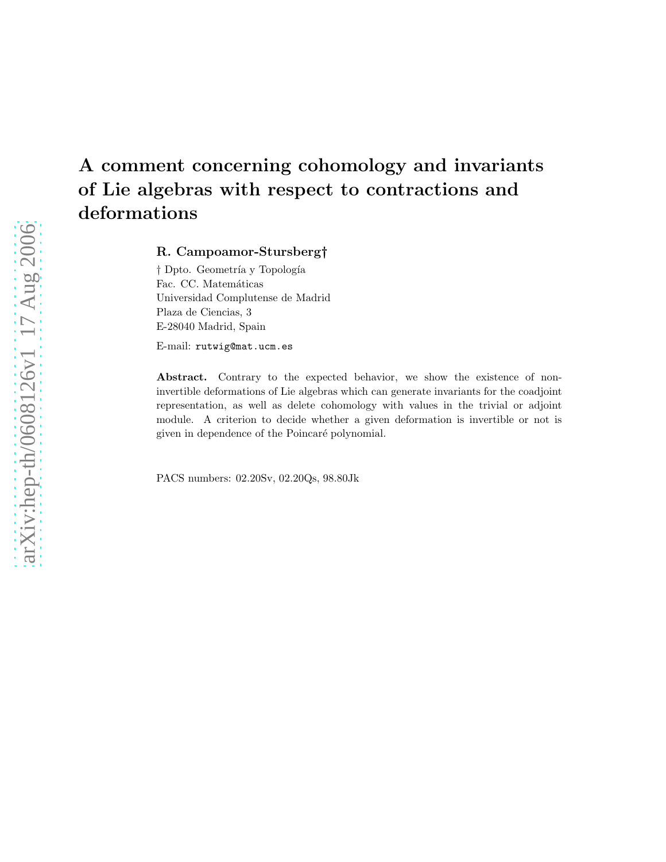# A comment concerning cohomology and invariants of Lie algebras with respect to contractions and deformations

R. Campoamor-Stursberg†

† Dpto. Geometría y Topología Fac. CC. Matemáticas Universidad Complutense de Madrid Plaza de Ciencias, 3 E-28040 Madrid, Spain

E-mail: rutwig@mat.ucm.es

Abstract. Contrary to the expected behavior, we show the existence of noninvertible deformations of Lie algebras which can generate invariants for the coadjoint representation, as well as delete cohomology with values in the trivial or adjoint module. A criterion to decide whether a given deformation is invertible or not is given in dependence of the Poincaré polynomial.

PACS numbers: 02.20Sv, 02.20Qs, 98.80Jk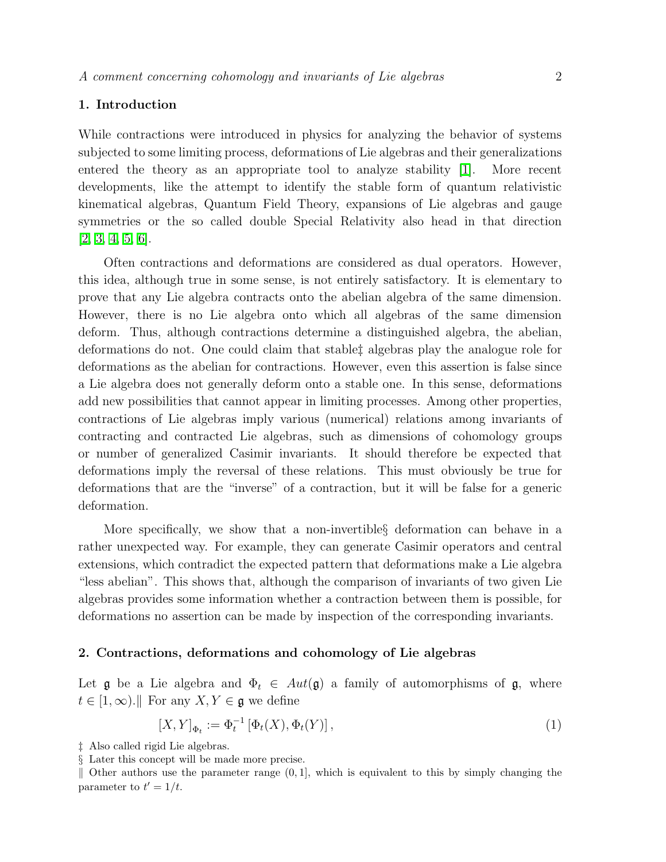## 1. Introduction

While contractions were introduced in physics for analyzing the behavior of systems subjected to some limiting process, deformations of Lie algebras and their generalizations entered the theory as an appropriate tool to analyze stability [\[1\]](#page-9-0). More recent developments, like the attempt to identify the stable form of quantum relativistic kinematical algebras, Quantum Field Theory, expansions of Lie algebras and gauge symmetries or the so called double Special Relativity also head in that direction [\[2,](#page-9-1) [3,](#page-9-2) [4,](#page-9-3) [5,](#page-9-4) [6\]](#page-9-5).

Often contractions and deformations are considered as dual operators. However, this idea, although true in some sense, is not entirely satisfactory. It is elementary to prove that any Lie algebra contracts onto the abelian algebra of the same dimension. However, there is no Lie algebra onto which all algebras of the same dimension deform. Thus, although contractions determine a distinguished algebra, the abelian, deformations do not. One could claim that stable‡ algebras play the analogue role for deformations as the abelian for contractions. However, even this assertion is false since a Lie algebra does not generally deform onto a stable one. In this sense, deformations add new possibilities that cannot appear in limiting processes. Among other properties, contractions of Lie algebras imply various (numerical) relations among invariants of contracting and contracted Lie algebras, such as dimensions of cohomology groups or number of generalized Casimir invariants. It should therefore be expected that deformations imply the reversal of these relations. This must obviously be true for deformations that are the "inverse" of a contraction, but it will be false for a generic deformation.

More specifically, we show that a non-invertible§ deformation can behave in a rather unexpected way. For example, they can generate Casimir operators and central extensions, which contradict the expected pattern that deformations make a Lie algebra "less abelian". This shows that, although the comparison of invariants of two given Lie algebras provides some information whether a contraction between them is possible, for deformations no assertion can be made by inspection of the corresponding invariants.

#### 2. Contractions, deformations and cohomology of Lie algebras

Let g be a Lie algebra and  $\Phi_t \in Aut(\mathfrak{g})$  a family of automorphisms of g, where  $t \in [1,\infty)$ . For any  $X, Y \in \mathfrak{g}$  we define

$$
[X,Y]_{\Phi_t} := \Phi_t^{-1} \left[ \Phi_t(X), \Phi_t(Y) \right],\tag{1}
$$

<sup>‡</sup> Also called rigid Lie algebras.

<sup>§</sup> Later this concept will be made more precise.

 $\parallel$  Other authors use the parameter range  $(0, 1]$ , which is equivalent to this by simply changing the parameter to  $t' = 1/t$ .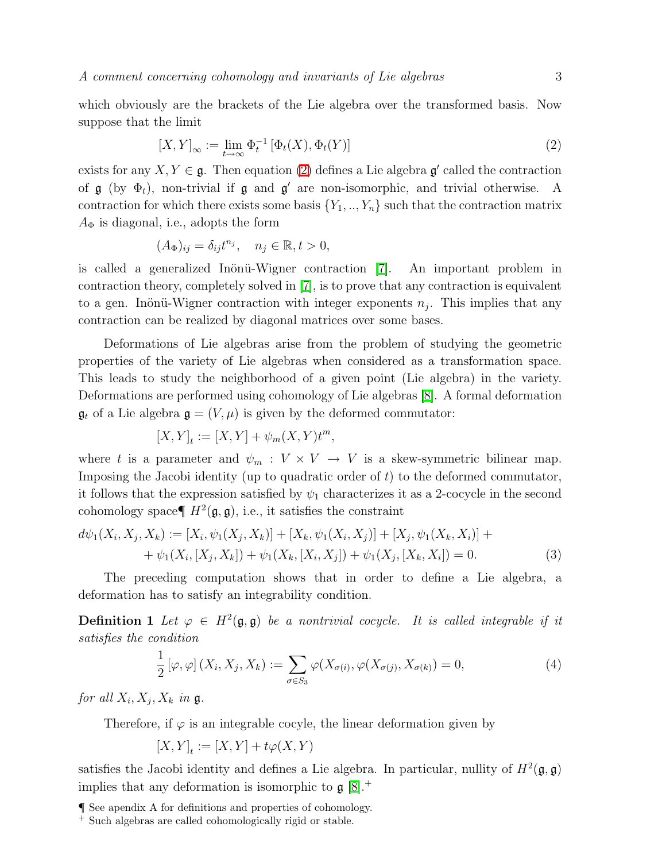<span id="page-2-0"></span>which obviously are the brackets of the Lie algebra over the transformed basis. Now suppose that the limit

$$
[X,Y]_{\infty} := \lim_{t \to \infty} \Phi_t^{-1} \left[ \Phi_t(X), \Phi_t(Y) \right] \tag{2}
$$

exists for any  $X, Y \in \mathfrak{g}$ . Then equation [\(2\)](#page-2-0) defines a Lie algebra  $\mathfrak{g}'$  called the contraction of  $\mathfrak g$  (by  $\Phi_t$ ), non-trivial if  $\mathfrak g$  and  $\mathfrak g'$  are non-isomorphic, and trivial otherwise. A contraction for which there exists some basis  $\{Y_1, ..., Y_n\}$  such that the contraction matrix  $A_{\Phi}$  is diagonal, i.e., adopts the form

$$
(A_{\Phi})_{ij} = \delta_{ij} t^{n_j}, \quad n_j \in \mathbb{R}, t > 0,
$$

is called a generalized Inönü-Wigner contraction [\[7\]](#page-9-6). An important problem in contraction theory, completely solved in [\[7\]](#page-9-6), is to prove that any contraction is equivalent to a gen. Inönü-Wigner contraction with integer exponents  $n_j$ . This implies that any contraction can be realized by diagonal matrices over some bases.

Deformations of Lie algebras arise from the problem of studying the geometric properties of the variety of Lie algebras when considered as a transformation space. This leads to study the neighborhood of a given point (Lie algebra) in the variety. Deformations are performed using cohomology of Lie algebras [\[8\]](#page-9-7). A formal deformation  $\mathfrak{g}_t$  of a Lie algebra  $\mathfrak{g} = (V, \mu)$  is given by the deformed commutator:

$$
[X,Y]_t := [X,Y] + \psi_m(X,Y)t^m,
$$

where t is a parameter and  $\psi_m : V \times V \to V$  is a skew-symmetric bilinear map. Imposing the Jacobi identity (up to quadratic order of  $t$ ) to the deformed commutator, it follows that the expression satisfied by  $\psi_1$  characterizes it as a 2-cocycle in the second cohomology space  $\P H^2(\mathfrak{g}, \mathfrak{g})$ , i.e., it satisfies the constraint

$$
d\psi_1(X_i, X_j, X_k) := [X_i, \psi_1(X_j, X_k)] + [X_k, \psi_1(X_i, X_j)] + [X_j, \psi_1(X_k, X_i)] ++ \psi_1(X_i, [X_j, X_k]) + \psi_1(X_k, [X_i, X_j]) + \psi_1(X_j, [X_k, X_i]) = 0.
$$
\n(3)

The preceding computation shows that in order to define a Lie algebra, a deformation has to satisfy an integrability condition.

**Definition 1** Let  $\varphi \in H^2(\mathfrak{g}, \mathfrak{g})$  be a nontrivial cocycle. It is called integrable if it *satisfies the condition*

$$
\frac{1}{2} [\varphi, \varphi] (X_i, X_j, X_k) := \sum_{\sigma \in S_3} \varphi(X_{\sigma(i)}, \varphi(X_{\sigma(j)}, X_{\sigma(k)}) = 0, \tag{4}
$$

for all  $X_i, X_j, X_k$  in  $\mathfrak{g}$ .

Therefore, if  $\varphi$  is an integrable cocyle, the linear deformation given by

$$
[X,Y]_t := [X,Y] + t\varphi(X,Y)
$$

satisfies the Jacobi identity and defines a Lie algebra. In particular, nullity of  $H^2(\mathfrak{g}, \mathfrak{g})$ implies that any deformation is isomorphic to  $\mathfrak{g} [8].^+$  $\mathfrak{g} [8].^+$  $\mathfrak{g} [8].^+$ 

<sup>¶</sup> See apendix A for definitions and properties of cohomology.

<sup>+</sup> Such algebras are called cohomologically rigid or stable.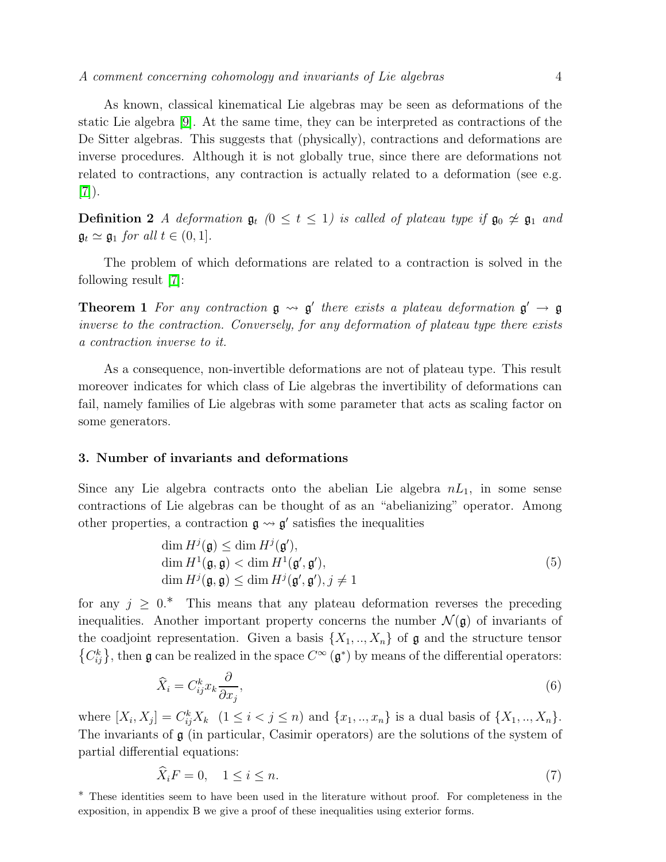As known, classical kinematical Lie algebras may be seen as deformations of the static Lie algebra [\[9\]](#page-9-8). At the same time, they can be interpreted as contractions of the De Sitter algebras. This suggests that (physically), contractions and deformations are inverse procedures. Although it is not globally true, since there are deformations not related to contractions, any contraction is actually related to a deformation (see e.g. [\[7\]](#page-9-6)).

**Definition 2** *A deformation*  $\mathfrak{g}_t$  *(*0 ≤ *t* ≤ 1*) is called of plateau type if*  $\mathfrak{g}_0 \not\approx \mathfrak{g}_1$  *and*  $\mathfrak{g}_t \simeq \mathfrak{g}_1$  *for all*  $t \in (0, 1]$ *.* 

The problem of which deformations are related to a contraction is solved in the following result [\[7\]](#page-9-6):

**Theorem 1** For any contraction  $\mathfrak{g} \rightarrow \mathfrak{g}'$  there exists a plateau deformation  $\mathfrak{g}' \rightarrow \mathfrak{g}$ *inverse to the contraction. Conversely, for any deformation of plateau type there exists a contraction inverse to it.*

As a consequence, non-invertible deformations are not of plateau type. This result moreover indicates for which class of Lie algebras the invertibility of deformations can fail, namely families of Lie algebras with some parameter that acts as scaling factor on some generators.

#### 3. Number of invariants and deformations

<span id="page-3-0"></span>Since any Lie algebra contracts onto the abelian Lie algebra  $nL_1$ , in some sense contractions of Lie algebras can be thought of as an "abelianizing" operator. Among other properties, a contraction  $\mathfrak{g} \leadsto \mathfrak{g}'$  satisfies the inequalities

$$
\dim H^j(\mathfrak{g}) \le \dim H^j(\mathfrak{g}'),
$$
  
\n
$$
\dim H^1(\mathfrak{g}, \mathfrak{g}) < \dim H^1(\mathfrak{g}', \mathfrak{g}'),
$$
  
\n
$$
\dim H^j(\mathfrak{g}, \mathfrak{g}) \le \dim H^j(\mathfrak{g}', \mathfrak{g}'), j \ne 1
$$
\n(5)

for any  $j \geq 0$ <sup>\*</sup>. This means that any plateau deformation reverses the preceding inequalities. Another important property concerns the number  $\mathcal{N}(\mathfrak{g})$  of invariants of the coadjoint representation. Given a basis  $\{X_1, ..., X_n\}$  of  $\mathfrak g$  and the structure tensor  ${C_{ij}^k}$ , then **g** can be realized in the space  $C^{\infty}(\mathfrak{g}^*)$  by means of the differential operators:

$$
\widehat{X}_i = C^k_{ij} x_k \frac{\partial}{\partial x_j},\tag{6}
$$

where  $[X_i, X_j] = C_{ij}^k X_k$   $(1 \le i < j \le n)$  and  $\{x_1, ..., x_n\}$  is a dual basis of  $\{X_1, ..., X_n\}$ . The invariants of  $g$  (in particular, Casimir operators) are the solutions of the system of partial differential equations:

$$
X_i F = 0, \quad 1 \le i \le n. \tag{7}
$$

∗ These identities seem to have been used in the literature without proof. For completeness in the exposition, in appendix B we give a proof of these inequalities using exterior forms.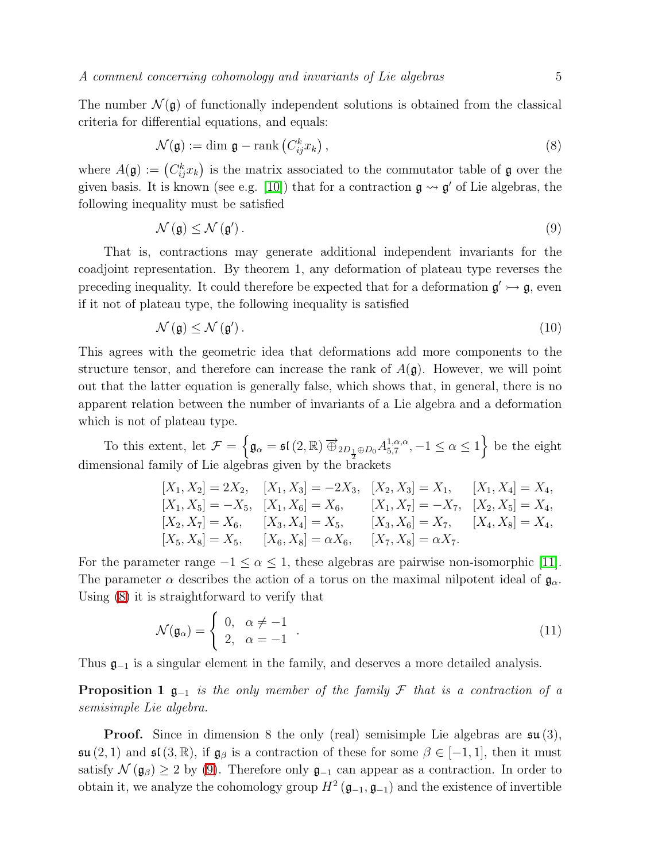<span id="page-4-0"></span>The number  $\mathcal{N}(\mathfrak{g})$  of functionally independent solutions is obtained from the classical criteria for differential equations, and equals:

$$
\mathcal{N}(\mathfrak{g}) := \dim \mathfrak{g} - \text{rank}\left(C_{ij}^k x_k\right),\tag{8}
$$

<span id="page-4-1"></span>where  $A(\mathfrak{g}) := (C_{ij}^k x_k)$  is the matrix associated to the commutator table of  $\mathfrak{g}$  over the given basis. It is known (see e.g. [\[10\]](#page-9-9)) that for a contraction  $\mathfrak{g} \leadsto \mathfrak{g}'$  of Lie algebras, the following inequality must be satisfied

$$
\mathcal{N}\left(\mathfrak{g}\right) \leq \mathcal{N}\left(\mathfrak{g}'\right). \tag{9}
$$

That is, contractions may generate additional independent invariants for the coadjoint representation. By theorem 1, any deformation of plateau type reverses the preceding inequality. It could therefore be expected that for a deformation  $\mathfrak{g}' \rightarrow \mathfrak{g}$ , even if it not of plateau type, the following inequality is satisfied

$$
\mathcal{N}\left(\mathfrak{g}\right) \le \mathcal{N}\left(\mathfrak{g}'\right). \tag{10}
$$

This agrees with the geometric idea that deformations add more components to the structure tensor, and therefore can increase the rank of  $A(\mathfrak{g})$ . However, we will point out that the latter equation is generally false, which shows that, in general, there is no apparent relation between the number of invariants of a Lie algebra and a deformation which is not of plateau type.

To this extent, let  $\mathcal{F} = \left\{ \mathfrak{g}_{\alpha} = \mathfrak{sl}(2,\mathbb{R}) \, \overrightarrow{\oplus}_{2D_{\frac{1}{2}} \oplus D_0} A_{5,7}^{1,\alpha,\alpha} \right\}$  $\{1, \alpha, \alpha}{5, 7}, -1 \leq \alpha \leq 1$  be the eight dimensional family of Lie algebras given by the brackets

$$
[X_1, X_2] = 2X_2, \quad [X_1, X_3] = -2X_3, \quad [X_2, X_3] = X_1, \quad [X_1, X_4] = X_4, [X_1, X_5] = -X_5, \quad [X_1, X_6] = X_6, \quad [X_1, X_7] = -X_7, \quad [X_2, X_5] = X_4, [X_2, X_7] = X_6, \quad [X_3, X_4] = X_5, \quad [X_3, X_6] = X_7, \quad [X_4, X_8] = X_4, [X_5, X_8] = X_5, \quad [X_6, X_8] = \alpha X_6, \quad [X_7, X_8] = \alpha X_7.
$$

<span id="page-4-2"></span>For the parameter range  $-1 \le \alpha \le 1$ , these algebras are pairwise non-isomorphic [\[11\]](#page-9-10). The parameter  $\alpha$  describes the action of a torus on the maximal nilpotent ideal of  $\mathfrak{g}_{\alpha}$ . Using [\(8\)](#page-4-0) it is straightforward to verify that

$$
\mathcal{N}(\mathfrak{g}_{\alpha}) = \begin{cases} 0, & \alpha \neq -1 \\ 2, & \alpha = -1 \end{cases} . \tag{11}
$$

Thus  $\mathfrak{g}_{-1}$  is a singular element in the family, and deserves a more detailed analysis.

Proposition 1 g<sup>−</sup><sup>1</sup> *is the only member of the family* F *that is a contraction of a semisimple Lie algebra.*

**Proof.** Since in dimension 8 the only (real) semisimple Lie algebras are  $\mathfrak{su}(3)$ ,  $\mathfrak{su}(2,1)$  and  $\mathfrak{sl}(3,\mathbb{R})$ , if  $\mathfrak{g}_{\beta}$  is a contraction of these for some  $\beta \in [-1,1]$ , then it must satisfy  $\mathcal{N}(\mathfrak{g}_{\beta}) \geq 2$  by [\(9\)](#page-4-1). Therefore only  $\mathfrak{g}_{-1}$  can appear as a contraction. In order to obtain it, we analyze the cohomology group  $H^2(\mathfrak{g}_{-1}, \mathfrak{g}_{-1})$  and the existence of invertible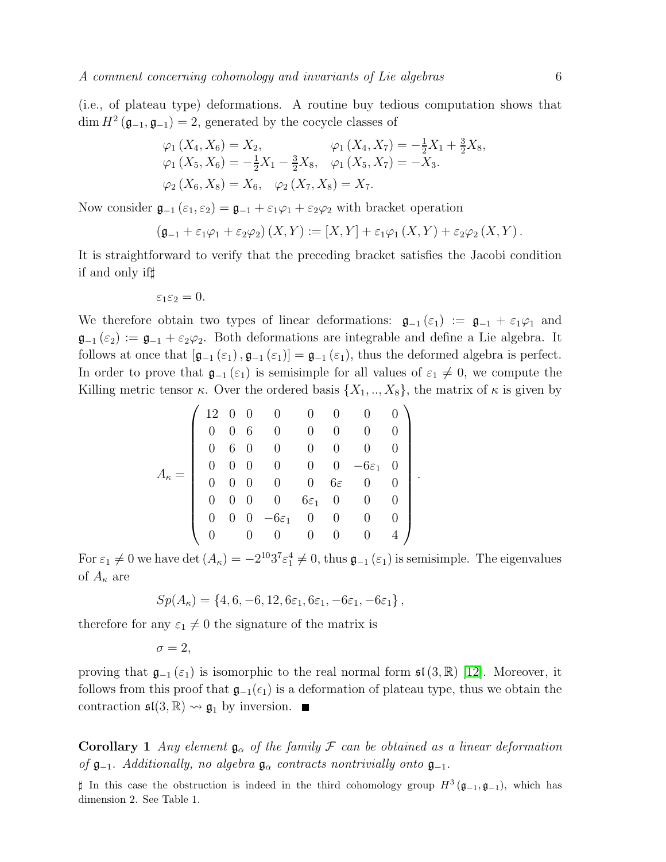(i.e., of plateau type) deformations. A routine buy tedious computation shows that  $\dim H^2(\mathfrak{g}_{-1}, \mathfrak{g}_{-1}) = 2$ , generated by the cocycle classes of

$$
\varphi_1(X_4, X_6) = X_2, \qquad \varphi_1(X_4, X_7) = -\frac{1}{2}X_1 + \frac{3}{2}X_8, \n\varphi_1(X_5, X_6) = -\frac{1}{2}X_1 - \frac{3}{2}X_8, \qquad \varphi_1(X_5, X_7) = -X_3. \n\varphi_2(X_6, X_8) = X_6, \quad \varphi_2(X_7, X_8) = X_7.
$$

Now consider  $\mathfrak{g}_{-1}(\varepsilon_1, \varepsilon_2) = \mathfrak{g}_{-1} + \varepsilon_1 \varphi_1 + \varepsilon_2 \varphi_2$  with bracket operation

$$
(\mathfrak{g}_{-1}+\varepsilon_1\varphi_1+\varepsilon_2\varphi_2)(X,Y):=[X,Y]+\varepsilon_1\varphi_1(X,Y)+\varepsilon_2\varphi_2(X,Y).
$$

It is straightforward to verify that the preceding bracket satisfies the Jacobi condition if and only if♯

$$
\varepsilon_1\varepsilon_2=0.
$$

We therefore obtain two types of linear deformations:  $\mathfrak{g}_{-1}(\varepsilon_1) := \mathfrak{g}_{-1} + \varepsilon_1 \varphi_1$  and  $\mathfrak{g}_{-1}(\varepsilon_2) := \mathfrak{g}_{-1} + \varepsilon_2 \varphi_2$ . Both deformations are integrable and define a Lie algebra. It follows at once that  $[\mathfrak{g}_{-1}(\varepsilon_1), \mathfrak{g}_{-1}(\varepsilon_1)] = \mathfrak{g}_{-1}(\varepsilon_1)$ , thus the deformed algebra is perfect. In order to prove that  $\mathfrak{g}_{-1}(\varepsilon_1)$  is semisimple for all values of  $\varepsilon_1 \neq 0$ , we compute the Killing metric tensor  $\kappa$ . Over the ordered basis  $\{X_1, ..., X_8\}$ , the matrix of  $\kappa$  is given by

$$
A_{\kappa} = \left(\begin{array}{ccccccccc} 12 & 0 & 0 & 0 & 0 & 0 & 0 & 0 \\ 0 & 0 & 6 & 0 & 0 & 0 & 0 & 0 \\ 0 & 6 & 0 & 0 & 0 & 0 & 0 & 0 \\ 0 & 0 & 0 & 0 & 0 & 0 & -6\varepsilon_1 & 0 \\ 0 & 0 & 0 & 0 & 0 & 6\varepsilon & 0 & 0 \\ 0 & 0 & 0 & 0 & 6\varepsilon_1 & 0 & 0 & 0 \\ 0 & 0 & 0 & -6\varepsilon_1 & 0 & 0 & 0 & 0 \\ 0 & 0 & 0 & 0 & 0 & 0 & 0 & 4 \end{array}\right)
$$

For  $\varepsilon_1 \neq 0$  we have det  $(A_{\kappa}) = -2^{10}3^{7}\varepsilon_1^4 \neq 0$ , thus  $\mathfrak{g}_{-1}(\varepsilon_1)$  is semisimple. The eigenvalues of  $A_{\kappa}$  are

.

$$
Sp(A_{\kappa}) = \{4, 6, -6, 12, 6\varepsilon_1, 6\varepsilon_1, -6\varepsilon_1, -6\varepsilon_1\},\,
$$

therefore for any  $\varepsilon_1 \neq 0$  the signature of the matrix is

$$
\sigma=2,
$$

proving that  $\mathfrak{g}_{-1}(\varepsilon_1)$  is isomorphic to the real normal form  $\mathfrak{sl}(3,\mathbb{R})$  [\[12\]](#page-9-11). Moreover, it follows from this proof that  $\mathfrak{g}_{-1}(\epsilon_1)$  is a deformation of plateau type, thus we obtain the contraction  $\mathfrak{sl}(3,\mathbb{R}) \rightsquigarrow \mathfrak{g}_1$  by inversion.

**Corollary** 1 *Any element*  $\mathfrak{g}_{\alpha}$  *of the family* F *can be obtained as a linear deformation of*  $\mathfrak{g}_{-1}$ *. Additionally, no algebra*  $\mathfrak{g}_{\alpha}$  *contracts nontrivially onto*  $\mathfrak{g}_{-1}$ *.* 

‡ In this case the obstruction is indeed in the third cohomology group  $H^3(\mathfrak{g}_{-1}, \mathfrak{g}_{-1})$ , which has dimension 2. See Table 1.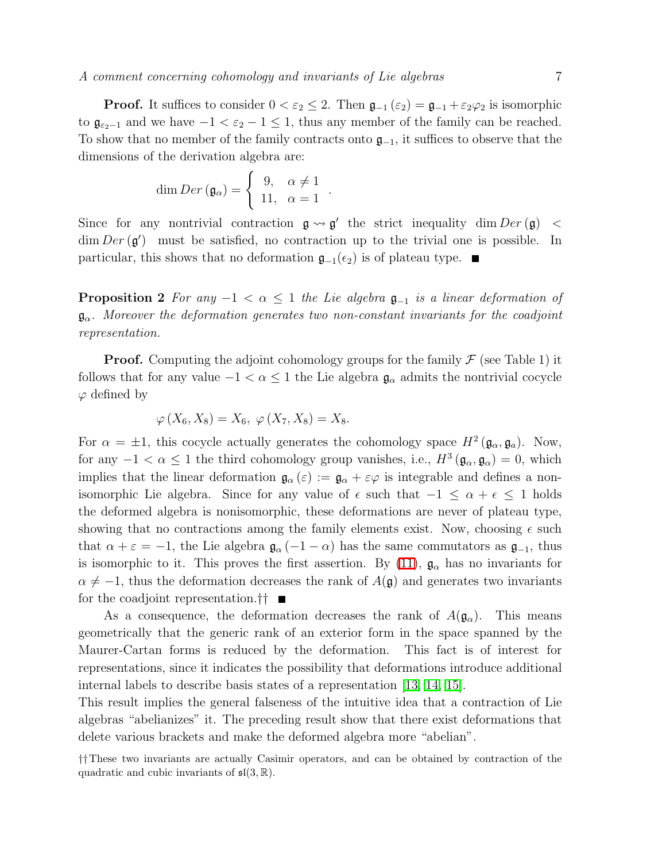**Proof.** It suffices to consider  $0 < \varepsilon_2 \leq 2$ . Then  $\mathfrak{g}_{-1}(\varepsilon_2) = \mathfrak{g}_{-1} + \varepsilon_2 \varphi_2$  is isomorphic to  $\mathfrak{g}_{\varepsilon_2-1}$  and we have  $-1 < \varepsilon_2 - 1 \leq 1$ , thus any member of the family can be reached. To show that no member of the family contracts onto  $\mathfrak{g}_{-1}$ , it suffices to observe that the dimensions of the derivation algebra are:

$$
\dim Der\left(\mathfrak{g}_{\alpha}\right)=\left\{\begin{array}{cc}9,&\alpha\neq1\\11,&\alpha=1\end{array}\right.
$$

Since for any nontrivial contraction  $\mathfrak{g} \leadsto \mathfrak{g}'$  the strict inequality dim  $Der(\mathfrak{g}) <$  $\dim Der(g')$  must be satisfied, no contraction up to the trivial one is possible. In particular, this shows that no deformation  $\mathfrak{g}_{-1}(\epsilon_2)$  is of plateau type. ■

.

**Proposition 2** *For any*  $-1 < \alpha \leq 1$  *the Lie algebra*  $\mathfrak{g}_{-1}$  *is a linear deformation of* gα*. Moreover the deformation generates two non-constant invariants for the coadjoint representation.*

**Proof.** Computing the adjoint cohomology groups for the family  $\mathcal F$  (see Table 1) it follows that for any value  $-1 < \alpha \leq 1$  the Lie algebra  $\mathfrak{g}_{\alpha}$  admits the nontrivial cocycle  $\varphi$  defined by

$$
\varphi\left(X_6, X_8\right) = X_6, \; \varphi\left(X_7, X_8\right) = X_8.
$$

For  $\alpha = \pm 1$ , this cocycle actually generates the cohomology space  $H^2(\mathfrak{g}_{\alpha}, \mathfrak{g}_{a})$ . Now, for any  $-1 < \alpha \leq 1$  the third cohomology group vanishes, i.e.,  $H^3(\mathfrak{g}_{\alpha}, \mathfrak{g}_{\alpha}) = 0$ , which implies that the linear deformation  $\mathfrak{g}_{\alpha}(\varepsilon) := \mathfrak{g}_{\alpha} + \varepsilon \varphi$  is integrable and defines a nonisomorphic Lie algebra. Since for any value of  $\epsilon$  such that  $-1 \leq \alpha + \epsilon \leq 1$  holds the deformed algebra is nonisomorphic, these deformations are never of plateau type, showing that no contractions among the family elements exist. Now, choosing  $\epsilon$  such that  $\alpha + \varepsilon = -1$ , the Lie algebra  $\mathfrak{g}_{\alpha}(-1 - \alpha)$  has the same commutators as  $\mathfrak{g}_{-1}$ , thus is isomorphic to it. This proves the first assertion. By [\(11\)](#page-4-2),  $\mathfrak{g}_{\alpha}$  has no invariants for  $\alpha \neq -1$ , thus the deformation decreases the rank of  $A(\mathfrak{g})$  and generates two invariants for the coadjoint representation.††

As a consequence, the deformation decreases the rank of  $A(\mathfrak{g}_{\alpha})$ . This means geometrically that the generic rank of an exterior form in the space spanned by the Maurer-Cartan forms is reduced by the deformation. This fact is of interest for representations, since it indicates the possibility that deformations introduce additional internal labels to describe basis states of a representation [\[13,](#page-9-12) [14,](#page-9-13) [15\]](#page-9-14).

This result implies the general falseness of the intuitive idea that a contraction of Lie algebras "abelianizes" it. The preceding result show that there exist deformations that delete various brackets and make the deformed algebra more "abelian".

<sup>††</sup>These two invariants are actually Casimir operators, and can be obtained by contraction of the quadratic and cubic invariants of  $\mathfrak{sl}(3,\mathbb{R})$ .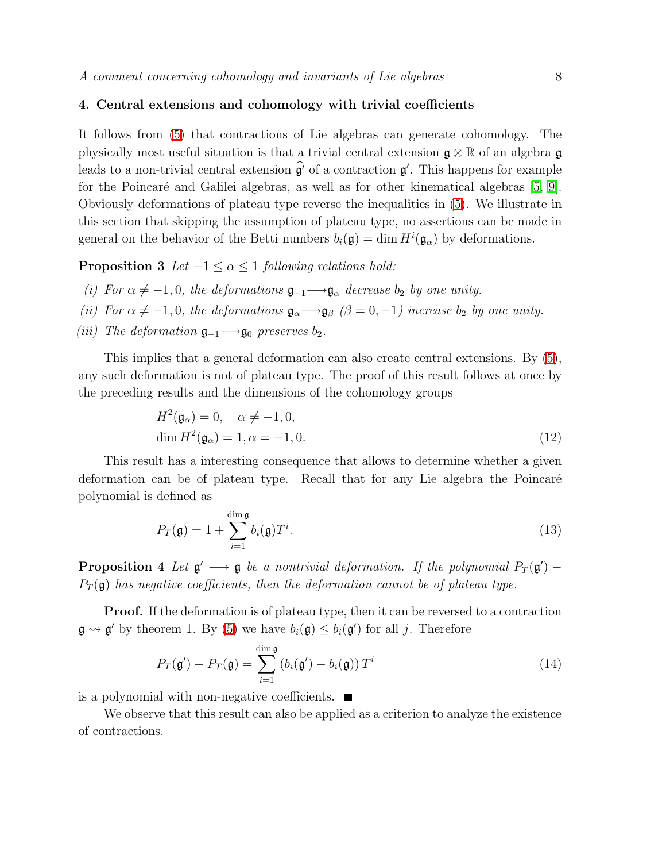## 4. Central extensions and cohomology with trivial coefficients

It follows from [\(5\)](#page-3-0) that contractions of Lie algebras can generate cohomology. The physically most useful situation is that a trivial central extension  $\mathfrak{g} \otimes \mathbb{R}$  of an algebra  $\mathfrak{g}$ leads to a non-trivial central extension  $\widehat{\mathfrak{g}'}$  of a contraction  $\mathfrak{g}'$ . This happens for example for the Poincaré and Galilei algebras, as well as for other kinematical algebras [\[5,](#page-9-4) [9\]](#page-9-8). Obviously deformations of plateau type reverse the inequalities in [\(5\)](#page-3-0). We illustrate in this section that skipping the assumption of plateau type, no assertions can be made in general on the behavior of the Betti numbers  $b_i(\mathfrak{g}) = \dim H^i(\mathfrak{g}_{\alpha})$  by deformations.

**Proposition 3** *Let*  $-1 \leq \alpha \leq 1$  *following relations hold:* 

- *(i)* For  $\alpha \neq -1, 0$ , the deformations  $\mathfrak{g}_{-1} \longrightarrow \mathfrak{g}_{\alpha}$  decrease  $b_2$  by one unity.
- *(ii)* For  $\alpha \neq -1, 0$ , the deformations  $\mathfrak{g}_{\alpha} \longrightarrow \mathfrak{g}_{\beta}$  ( $\beta = 0, -1$ ) increase  $b_2$  by one unity.
- *(iii)* The deformation  $\mathfrak{g}_{-1} \longrightarrow \mathfrak{g}_0$  preserves  $b_2$ .

This implies that a general deformation can also create central extensions. By [\(5\)](#page-3-0), any such deformation is not of plateau type. The proof of this result follows at once by the preceding results and the dimensions of the cohomology groups

$$
H^{2}(\mathfrak{g}_{\alpha}) = 0, \quad \alpha \neq -1, 0,
$$
  
dim  $H^{2}(\mathfrak{g}_{\alpha}) = 1, \alpha = -1, 0.$  (12)

This result has a interesting consequence that allows to determine whether a given deformation can be of plateau type. Recall that for any Lie algebra the Poincaré polynomial is defined as

$$
P_T(\mathfrak{g}) = 1 + \sum_{i=1}^{\dim \mathfrak{g}} b_i(\mathfrak{g}) T^i.
$$
 (13)

**Proposition 4** Let  $\mathfrak{g}' \longrightarrow \mathfrak{g}$  be a nontrivial deformation. If the polynomial  $P_T(\mathfrak{g}')$  –  $P_T(\mathfrak{g})$  has negative coefficients, then the deformation cannot be of plateau type.

**Proof.** If the deformation is of plateau type, then it can be reversed to a contraction  $\mathfrak{g} \rightsquigarrow \mathfrak{g}'$  by theorem 1. By [\(5\)](#page-3-0) we have  $b_i(\mathfrak{g}) \leq b_i(\mathfrak{g}')$  for all j. Therefore

$$
P_T(\mathbf{g}') - P_T(\mathbf{g}) = \sum_{i=1}^{\dim \mathfrak{g}} \left( b_i(\mathbf{g}') - b_i(\mathbf{g}) \right) T^i \tag{14}
$$

is a polynomial with non-negative coefficients.  $\blacksquare$ 

We observe that this result can also be applied as a criterion to analyze the existence of contractions.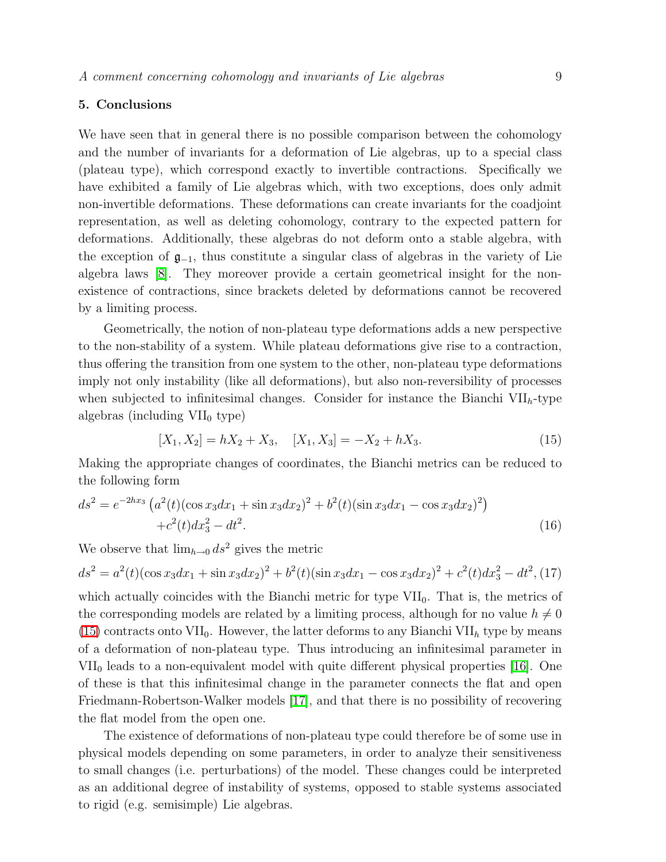### 5. Conclusions

We have seen that in general there is no possible comparison between the cohomology and the number of invariants for a deformation of Lie algebras, up to a special class (plateau type), which correspond exactly to invertible contractions. Specifically we have exhibited a family of Lie algebras which, with two exceptions, does only admit non-invertible deformations. These deformations can create invariants for the coadjoint representation, as well as deleting cohomology, contrary to the expected pattern for deformations. Additionally, these algebras do not deform onto a stable algebra, with the exception of  $\mathfrak{g}_{-1}$ , thus constitute a singular class of algebras in the variety of Lie algebra laws [\[8\]](#page-9-7). They moreover provide a certain geometrical insight for the nonexistence of contractions, since brackets deleted by deformations cannot be recovered by a limiting process.

Geometrically, the notion of non-plateau type deformations adds a new perspective to the non-stability of a system. While plateau deformations give rise to a contraction, thus offering the transition from one system to the other, non-plateau type deformations imply not only instability (like all deformations), but also non-reversibility of processes when subjected to infinitesimal changes. Consider for instance the Bianchi  $VII_h$ -type algebras (including  $VII_0$  type)

$$
[X_1, X_2] = hX_2 + X_3, \quad [X_1, X_3] = -X_2 + hX_3. \tag{15}
$$

<span id="page-8-0"></span>Making the appropriate changes of coordinates, the Bianchi metrics can be reduced to the following form

$$
ds^{2} = e^{-2hx_{3}} \left( a^{2}(t) (\cos x_{3} dx_{1} + \sin x_{3} dx_{2})^{2} + b^{2}(t) (\sin x_{3} dx_{1} - \cos x_{3} dx_{2})^{2} \right) + c^{2}(t) dx_{3}^{2} - dt^{2}.
$$
 (16)

We observe that  $\lim_{h\to 0} ds^2$  gives the metric

$$
ds^{2} = a^{2}(t)(\cos x_{3}dx_{1} + \sin x_{3}dx_{2})^{2} + b^{2}(t)(\sin x_{3}dx_{1} - \cos x_{3}dx_{2})^{2} + c^{2}(t)dx_{3}^{2} - dt^{2},
$$
 (17)

which actually coincides with the Bianchi metric for type  $VII_0$ . That is, the metrics of the corresponding models are related by a limiting process, although for no value  $h \neq 0$  $(15)$  contracts onto VII<sub>0</sub>. However, the latter deforms to any Bianchi VII<sub>h</sub> type by means of a deformation of non-plateau type. Thus introducing an infinitesimal parameter in  $VII_0$  leads to a non-equivalent model with quite different physical properties [\[16\]](#page-9-15). One of these is that this infinitesimal change in the parameter connects the flat and open Friedmann-Robertson-Walker models [\[17\]](#page-9-16), and that there is no possibility of recovering the flat model from the open one.

The existence of deformations of non-plateau type could therefore be of some use in physical models depending on some parameters, in order to analyze their sensitiveness to small changes (i.e. perturbations) of the model. These changes could be interpreted as an additional degree of instability of systems, opposed to stable systems associated to rigid (e.g. semisimple) Lie algebras.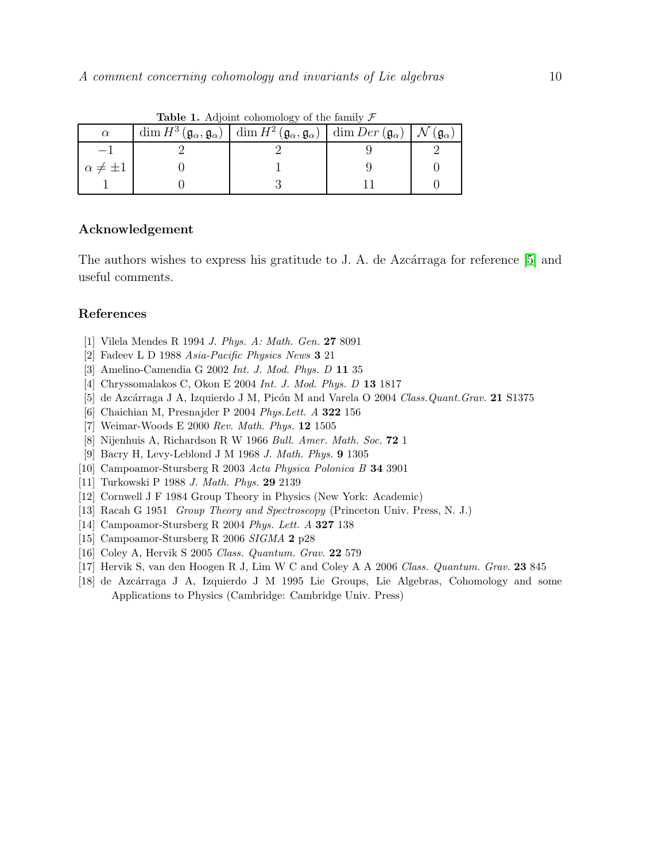| $\alpha$            | $\frac{1}{2}$<br>$\dim H^3(\mathfrak{g}_{\alpha}, \mathfrak{g}_{\alpha}) \mid \dim H^2(\mathfrak{g}_{\alpha}, \mathfrak{g}_{\alpha}) \mid \dim Der(\mathfrak{g}_{\alpha}) \mid \mathcal{N}(\mathfrak{g}_{\alpha})$ |  |
|---------------------|--------------------------------------------------------------------------------------------------------------------------------------------------------------------------------------------------------------------|--|
|                     |                                                                                                                                                                                                                    |  |
| $\alpha \neq \pm 1$ |                                                                                                                                                                                                                    |  |
|                     |                                                                                                                                                                                                                    |  |

**Table 1.** Adjoint cohomology of the family  $\mathcal F$ 

### Acknowledgement

The authors wishes to express his gratitude to J. A. de Azcárraga for reference [\[5\]](#page-9-4) and useful comments.

## <span id="page-9-1"></span><span id="page-9-0"></span>References

- [1] Vilela Mendes R 1994 *J. Phys. A: Math. Gen.* 27 8091
- <span id="page-9-2"></span>[2] Fadeev L D 1988 *Asia-Pacific Physics News* 3 21
- <span id="page-9-3"></span>[3] Amelino-Camendia G 2002 *Int. J. Mod. Phys. D* 11 35
- <span id="page-9-4"></span>[4] Chryssomalakos C, Okon E 2004 *Int. J. Mod. Phys. D* 13 1817
- <span id="page-9-5"></span>[5] de Azc´arraga J A, Izquierdo J M, Pic´on M and Varela O 2004 *Class.Quant.Grav.* 21 S1375
- <span id="page-9-6"></span>[6] Chaichian M, Presnajder P 2004 *Phys.Lett. A* 322 156
- <span id="page-9-7"></span>[7] Weimar-Woods E 2000 *Rev. Math. Phys.* 12 1505
- [8] Nijenhuis A, Richardson R W 1966 *Bull. Amer. Math. Soc.* 72 1
- [9] Bacry H, Levy-Leblond J M 1968 *J. Math. Phys.* 9 1305
- <span id="page-9-10"></span><span id="page-9-9"></span><span id="page-9-8"></span>[10] Campoamor-Stursberg R 2003 *Acta Physica Polonica B* 34 3901
- <span id="page-9-11"></span>[11] Turkowski P 1988 *J. Math. Phys.* 29 2139
- <span id="page-9-12"></span>[12] Cornwell J F 1984 Group Theory in Physics (New York: Academic)
- <span id="page-9-13"></span>[13] Racah G 1951 *Group Theory and Spectroscopy* (Princeton Univ. Press, N. J.)
- <span id="page-9-14"></span>[14] Campoamor-Stursberg R 2004 *Phys. Lett. A* 327 138
- <span id="page-9-15"></span>[15] Campoamor-Stursberg R 2006 *SIGMA* 2 p28
- <span id="page-9-16"></span>[16] Coley A, Hervik S 2005 *Class. Quantum. Grav.* 22 579
- <span id="page-9-17"></span>[17] Hervik S, van den Hoogen R J, Lim W C and Coley A A 2006 *Class. Quantum. Grav.* 23 845
- [18] de Azcárraga J A, Izquierdo J M 1995 Lie Groups, Lie Algebras, Cohomology and some Applications to Physics (Cambridge: Cambridge Univ. Press)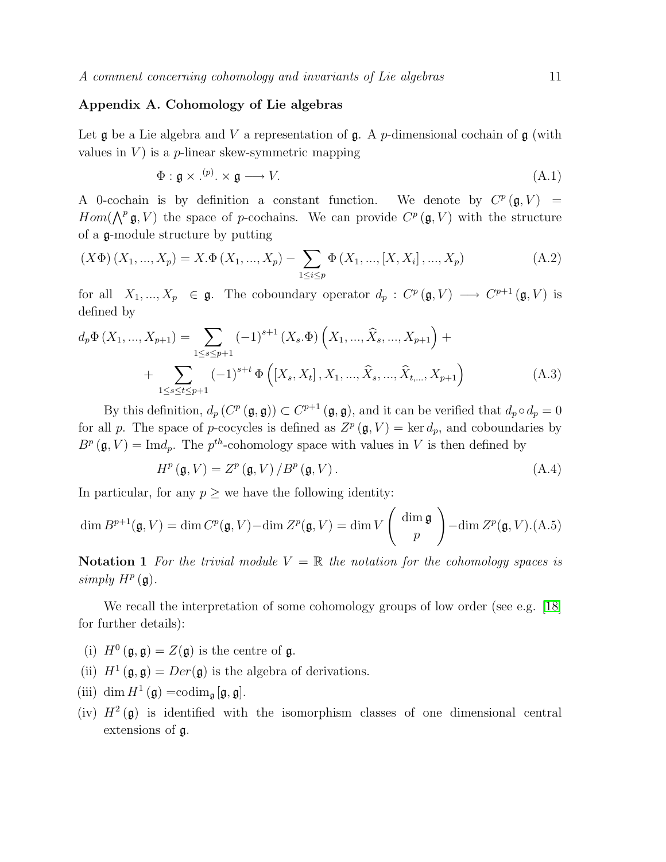### Appendix A. Cohomology of Lie algebras

Let  $\mathfrak g$  be a Lie algebra and V a representation of  $\mathfrak g$ . A p-dimensional cochain of  $\mathfrak g$  (with values in  $V$ ) is a *p*-linear skew-symmetric mapping

$$
\Phi: \mathfrak{g} \times \cdot^{(p)} \times \mathfrak{g} \longrightarrow V. \tag{A.1}
$$

A 0-cochain is by definition a constant function. We denote by  $C^p(\mathfrak{g}, V) =$  $Hom(\bigwedge^p \mathfrak{g}, V)$  the space of p-cochains. We can provide  $C^p(\mathfrak{g}, V)$  with the structure of a g-module structure by putting

$$
(X\Phi)(X_1, ..., X_p) = X.\Phi(X_1, ..., X_p) - \sum_{1 \le i \le p} \Phi(X_1, ..., [X, X_i], ..., X_p)
$$
(A.2)

for all  $X_1, ..., X_p \in \mathfrak{g}$ . The coboundary operator  $d_p : C^p(\mathfrak{g}, V) \longrightarrow C^{p+1}(\mathfrak{g}, V)$  is defined by

$$
d_p \Phi(X_1, ..., X_{p+1}) = \sum_{1 \le s \le p+1} (-1)^{s+1} (X_s. \Phi) \left(X_1, ..., \hat{X}_s, ..., X_{p+1}\right) + \sum_{1 \le s \le t \le p+1} (-1)^{s+t} \Phi\left([X_s, X_t], X_1, ..., \hat{X}_s, ..., \hat{X}_{t, ..., X_{p+1}}\right)
$$
(A.3)

By this definition,  $d_p(C^p(\mathfrak{g}, \mathfrak{g})) \subset C^{p+1}(\mathfrak{g}, \mathfrak{g}),$  and it can be verified that  $d_p \circ d_p = 0$ for all p. The space of p-cocycles is defined as  $Z^p(\mathfrak{g}, V) = \text{ker } d_p$ , and coboundaries by  $B^p(\mathfrak{g}, V) = \text{Im}d_p$ . The  $p^{th}$ -cohomology space with values in V is then defined by

$$
H^{p}(\mathfrak{g}, V) = Z^{p}(\mathfrak{g}, V) / B^{p}(\mathfrak{g}, V).
$$
 (A.4)

In particular, for any  $p \geq$  we have the following identity:

<span id="page-10-0"></span>
$$
\dim B^{p+1}(\mathfrak{g}, V) = \dim C^p(\mathfrak{g}, V) - \dim Z^p(\mathfrak{g}, V) = \dim V \left( \begin{array}{c} \dim \mathfrak{g} \\ p \end{array} \right) - \dim Z^p(\mathfrak{g}, V). \tag{A.5}
$$

Notation 1 *For the trivial module*  $V = \mathbb{R}$  *the notation for the cohomology spaces is*  $simply H<sup>p</sup>(**g**).$ 

We recall the interpretation of some cohomology groups of low order (see e.g. [\[18\]](#page-9-17) for further details):

- (i)  $H^0(\mathfrak{g}, \mathfrak{g}) = Z(\mathfrak{g})$  is the centre of  $\mathfrak{g}$ .
- (ii)  $H^1(\mathfrak{g}, \mathfrak{g}) = Der(\mathfrak{g})$  is the algebra of derivations.
- (iii) dim  $H^1(\mathfrak{g}) = \operatorname{codim}_{\mathfrak{g}} [\mathfrak{g}, \mathfrak{g}].$
- (iv)  $H^2(\mathfrak{g})$  is identified with the isomorphism classes of one dimensional central extensions of g.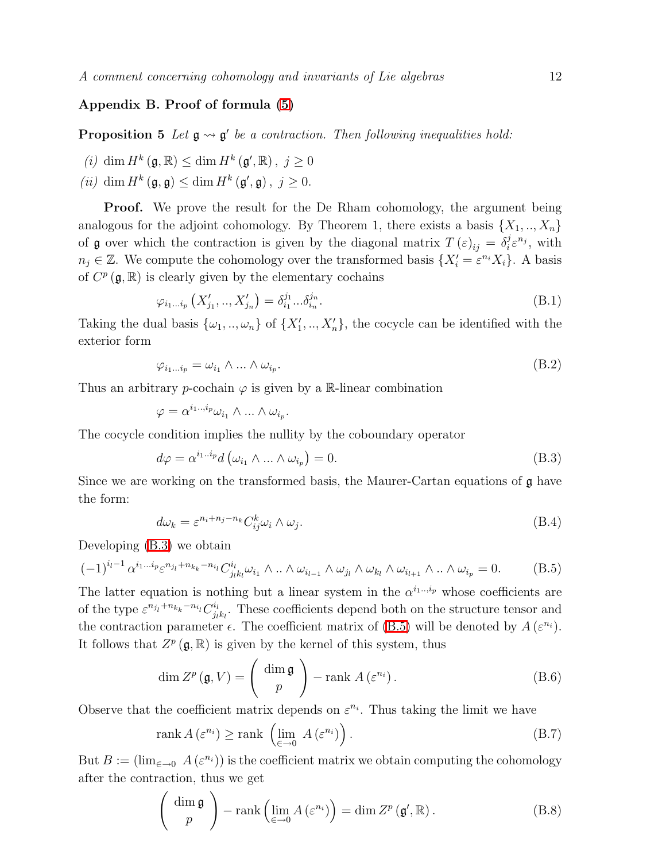## Appendix B. Proof of formula [\(5\)](#page-3-0)

**Proposition 5** Let  $\mathfrak{g} \rightsquigarrow \mathfrak{g}'$  be a contraction. Then following inequalities hold:

- (*i*) dim  $H^k(\mathfrak{g}, \mathbb{R}) \leq \dim H^k(\mathfrak{g}', \mathbb{R}), j \geq 0$
- (*ii*) dim  $H^k(\mathfrak{g}, \mathfrak{g}) \leq \dim H^k(\mathfrak{g}', \mathfrak{g}), j \geq 0.$

**Proof.** We prove the result for the De Rham cohomology, the argument being analogous for the adjoint cohomology. By Theorem 1, there exists a basis  $\{X_1, ..., X_n\}$ of **g** over which the contraction is given by the diagonal matrix  $T(\varepsilon)_{ij} = \delta_i^j$  $i^j \varepsilon^{n_j}$ , with  $n_j \in \mathbb{Z}$ . We compute the cohomology over the transformed basis  $\{X'_i = \varepsilon^{n_i} X_i\}$ . A basis of  $C^p(\mathfrak{g}, \mathbb{R})$  is clearly given by the elementary cochains

$$
\varphi_{i_1...i_p} \left( X'_{j_1}, ..., X'_{j_n} \right) = \delta_{i_1}^{j_1} ... \delta_{i_n}^{j_n}.
$$
\n(B.1)

Taking the dual basis  $\{\omega_1, ..., \omega_n\}$  of  $\{X'_1, ..., X'_n\}$ , the cocycle can be identified with the exterior form

$$
\varphi_{i_1 \dots i_p} = \omega_{i_1} \wedge \dots \wedge \omega_{i_p}.\tag{B.2}
$$

Thus an arbitrary p-cochain  $\varphi$  is given by a R-linear combination

$$
\varphi = \alpha^{i_1 \dots i_p} \omega_{i_1} \wedge \dots \wedge \omega_{i_p}.
$$

<span id="page-11-0"></span>The cocycle condition implies the nullity by the coboundary operator

$$
d\varphi = \alpha^{i_1 \dots i_p} d\left(\omega_{i_1} \wedge \dots \wedge \omega_{i_p}\right) = 0. \tag{B.3}
$$

Since we are working on the transformed basis, the Maurer-Cartan equations of  $\mathfrak g$  have the form:

$$
d\omega_k = \varepsilon^{n_i + n_j - n_k} C_{ij}^k \omega_i \wedge \omega_j.
$$
\n(B.4)

<span id="page-11-1"></span>Developing [\(B.3\)](#page-11-0) we obtain

$$
(-1)^{i_l-1} \alpha^{i_1 \dots i_p} \varepsilon^{n_{j_l} + n_{k_k} - n_{i_l}} C^{i_l}_{j_l k_l} \omega_{i_1} \wedge \dots \wedge \omega_{i_{l-1}} \wedge \omega_{j_l} \wedge \omega_{k_l} \wedge \omega_{i_{l+1}} \wedge \dots \wedge \omega_{i_p} = 0.
$$
 (B.5)

The latter equation is nothing but a linear system in the  $\alpha^{i_1...i_p}$  whose coefficients are of the type  $\varepsilon^{n_{j_l}+n_{k_k}-n_{i_l}} C_{j_l}^{i_l}$  $\frac{n_l}{j_l k_l}$ . These coefficients depend both on the structure tensor and the contraction parameter  $\epsilon$ . The coefficient matrix of [\(B.5\)](#page-11-1) will be denoted by  $A(\epsilon^{n_i})$ . It follows that  $Z^p(\mathfrak{g}, \mathbb{R})$  is given by the kernel of this system, thus

$$
\dim Z^{p}(\mathfrak{g}, V) = \left(\begin{array}{c} \dim \mathfrak{g} \\ p \end{array}\right) - \text{rank } A\left(\varepsilon^{n_{i}}\right). \tag{B.6}
$$

Observe that the coefficient matrix depends on  $\varepsilon^{n_i}$ . Thus taking the limit we have

$$
rank A\left(\varepsilon^{n_i}\right) \geq rank \left(\lim_{\varepsilon \to 0} A\left(\varepsilon^{n_i}\right)\right). \tag{B.7}
$$

But  $B := (\lim_{\epsilon \to 0} A(\epsilon^{n_i}))$  is the coefficient matrix we obtain computing the cohomology after the contraction, thus we get

$$
\left(\begin{array}{c}\dim \mathfrak{g} \\ p\end{array}\right) - \operatorname{rank}\left(\lim_{\epsilon \to 0} A\left(\epsilon^{n_i}\right)\right) = \dim Z^p\left(\mathfrak{g}', \mathbb{R}\right). \tag{B.8}
$$